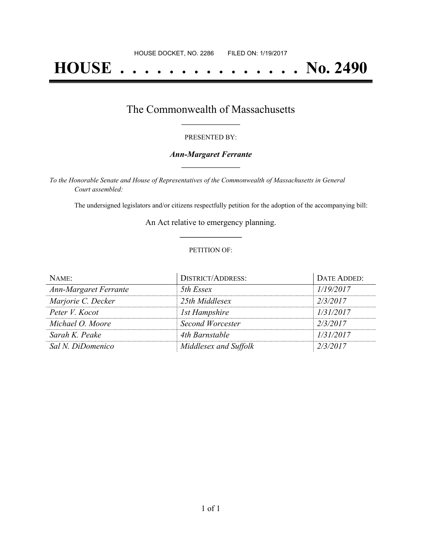# **HOUSE . . . . . . . . . . . . . . . No. 2490**

## The Commonwealth of Massachusetts **\_\_\_\_\_\_\_\_\_\_\_\_\_\_\_\_\_**

#### PRESENTED BY:

#### *Ann-Margaret Ferrante* **\_\_\_\_\_\_\_\_\_\_\_\_\_\_\_\_\_**

*To the Honorable Senate and House of Representatives of the Commonwealth of Massachusetts in General Court assembled:*

The undersigned legislators and/or citizens respectfully petition for the adoption of the accompanying bill:

An Act relative to emergency planning. **\_\_\_\_\_\_\_\_\_\_\_\_\_\_\_**

#### PETITION OF:

| $N$ AME:                     | <b>DISTRICT/ADDRESS:</b> | DATE ADDED: |
|------------------------------|--------------------------|-------------|
| <b>Ann-Margaret Ferrante</b> | 5th Essex                | 1/19/2017   |
| Marjorie C. Decker           | 25th Middlesex           | 2/3/2017    |
| Peter V. Kocot               | 1st Hampshire            | 1/31/2017   |
| Michael O. Moore             | <b>Second Worcester</b>  | 2/3/2017    |
| Sarah K. Peake               | 4th Barnstable           | 1/31/2017   |
| Sal N. DiDomenico            | Middlesex and Suffolk    | 2/3/2017    |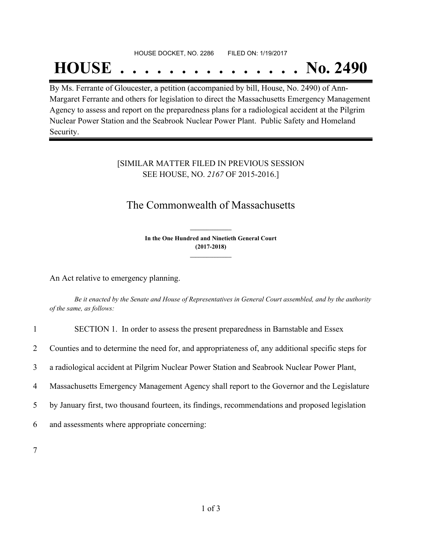## HOUSE DOCKET, NO. 2286 FILED ON: 1/19/2017 **HOUSE . . . . . . . . . . . . . . . No. 2490**

By Ms. Ferrante of Gloucester, a petition (accompanied by bill, House, No. 2490) of Ann-Margaret Ferrante and others for legislation to direct the Massachusetts Emergency Management Agency to assess and report on the preparedness plans for a radiological accident at the Pilgrim Nuclear Power Station and the Seabrook Nuclear Power Plant. Public Safety and Homeland Security.

## [SIMILAR MATTER FILED IN PREVIOUS SESSION SEE HOUSE, NO. *2167* OF 2015-2016.]

## The Commonwealth of Massachusetts

**In the One Hundred and Ninetieth General Court (2017-2018) \_\_\_\_\_\_\_\_\_\_\_\_\_\_\_**

**\_\_\_\_\_\_\_\_\_\_\_\_\_\_\_**

An Act relative to emergency planning.

Be it enacted by the Senate and House of Representatives in General Court assembled, and by the authority *of the same, as follows:*

1 SECTION 1. In order to assess the present preparedness in Barnstable and Essex

2 Counties and to determine the need for, and appropriateness of, any additional specific steps for

3 a radiological accident at Pilgrim Nuclear Power Station and Seabrook Nuclear Power Plant,

4 Massachusetts Emergency Management Agency shall report to the Governor and the Legislature

5 by January first, two thousand fourteen, its findings, recommendations and proposed legislation

6 and assessments where appropriate concerning:

7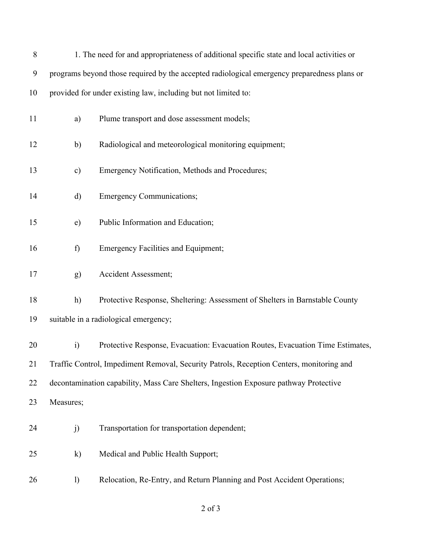| 8  |                                                                                          | 1. The need for and appropriateness of additional specific state and local activities or    |  |
|----|------------------------------------------------------------------------------------------|---------------------------------------------------------------------------------------------|--|
| 9  |                                                                                          | programs beyond those required by the accepted radiological emergency preparedness plans or |  |
| 10 |                                                                                          | provided for under existing law, including but not limited to:                              |  |
| 11 | a)                                                                                       | Plume transport and dose assessment models;                                                 |  |
| 12 | $\mathbf{b}$                                                                             | Radiological and meteorological monitoring equipment;                                       |  |
| 13 | $\mathbf{c})$                                                                            | Emergency Notification, Methods and Procedures;                                             |  |
| 14 | d)                                                                                       | <b>Emergency Communications;</b>                                                            |  |
| 15 | e)                                                                                       | Public Information and Education;                                                           |  |
| 16 | f)                                                                                       | <b>Emergency Facilities and Equipment;</b>                                                  |  |
| 17 | g)                                                                                       | <b>Accident Assessment;</b>                                                                 |  |
| 18 | h)                                                                                       | Protective Response, Sheltering: Assessment of Shelters in Barnstable County                |  |
| 19 | suitable in a radiological emergency;                                                    |                                                                                             |  |
| 20 | $\ddot{i}$                                                                               | Protective Response, Evacuation: Evacuation Routes, Evacuation Time Estimates,              |  |
| 21 | Traffic Control, Impediment Removal, Security Patrols, Reception Centers, monitoring and |                                                                                             |  |
| 22 | decontamination capability, Mass Care Shelters, Ingestion Exposure pathway Protective    |                                                                                             |  |
| 23 | Measures;                                                                                |                                                                                             |  |
| 24 | j)                                                                                       | Transportation for transportation dependent;                                                |  |
| 25 | $\bf k)$                                                                                 | Medical and Public Health Support;                                                          |  |
| 26 | $\left( \right)$                                                                         | Relocation, Re-Entry, and Return Planning and Post Accident Operations;                     |  |

of 3